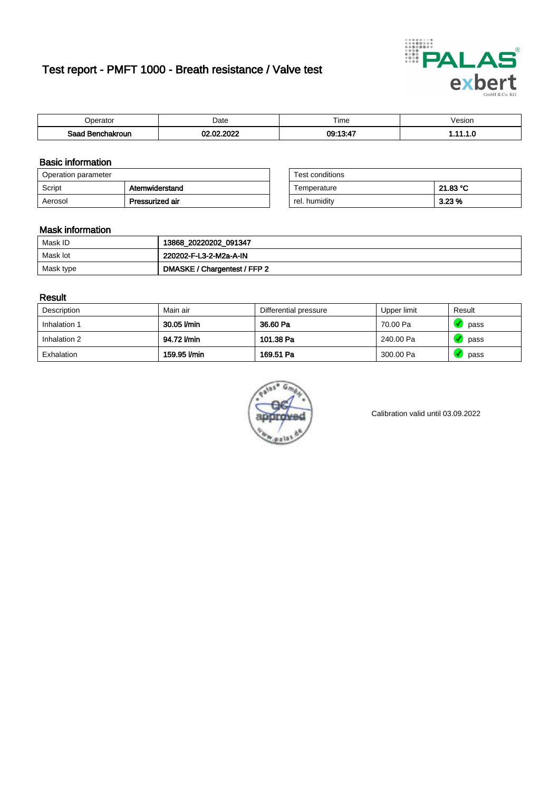# Test report - PMFT 1000 - Breath resistance / Valve test



| )perator               | Date                        | $- \cdot$<br>Fime | esion |
|------------------------|-----------------------------|-------------------|-------|
| המס<br>hakroun<br>saac | 000 <sup>o</sup><br>ΩΩ<br>w | 09:13:47          | .     |

### Basic information

| Operation parameter |                 | Test conditions |          |
|---------------------|-----------------|-----------------|----------|
| Script              | Atemwiderstand  | Temperature     | 21.83 °C |
| Aerosol             | Pressurized air | rel. humidity   | $3.23\%$ |

| Test conditions |          |
|-----------------|----------|
| Temperature     | 21.83 °C |
| rel. humidity   | 3.23%    |

#### Mask information

| Mask ID   | 13868_20220202_091347        |
|-----------|------------------------------|
| Mask lot  | 220202-F-L3-2-M2a-A-IN       |
| Mask type | DMASKE / Chargentest / FFP 2 |

### Result

| Description  | Main air     | Differential pressure | Upper limit | Result |
|--------------|--------------|-----------------------|-------------|--------|
| Inhalation 1 | 30.05 l/min  | 36.60 Pa              | 70.00 Pa    | pass   |
| Inhalation 2 | 94.72 l/min  | 101.38 Pa             | 240.00 Pa   | pass   |
| Exhalation   | 159.95 l/min | 169.51 Pa             | 300.00 Pa   | pass   |



Calibration valid until 03.09.2022